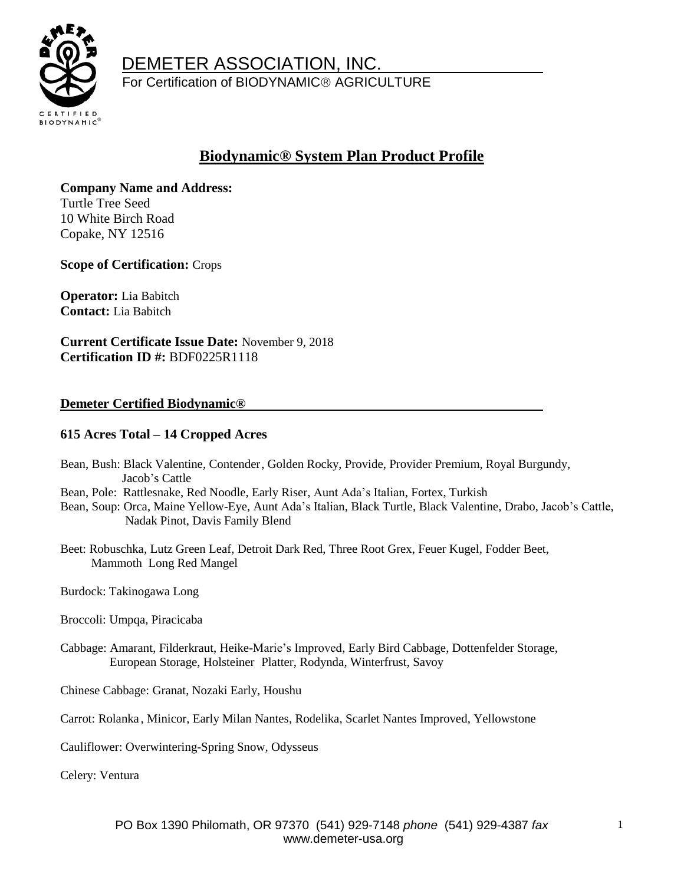

 DEMETER ASSOCIATION, INC. For Certification of BIODYNAMIC<sup>®</sup> AGRICULTURE

## **Biodynamic® System Plan Product Profile**

**Company Name and Address:**  Turtle Tree Seed 10 White Birch Road Copake, NY 12516

**Scope of Certification:** Crops

**Operator:** Lia Babitch **Contact:** Lia Babitch

**Current Certificate Issue Date:** November 9, 2018 **Certification ID #:** BDF0225R1118

### **Demeter Certified Biodynamic®**

### **615 Acres Total – 14 Cropped Acres**

- Bean, Bush: Black Valentine, Contender, Golden Rocky, Provide, Provider Premium, Royal Burgundy, Jacob's Cattle
- Bean, Pole: Rattlesnake, Red Noodle, Early Riser, Aunt Ada's Italian, Fortex, Turkish
- Bean, Soup: Orca, Maine Yellow-Eye, Aunt Ada's Italian, Black Turtle, Black Valentine, Drabo, Jacob's Cattle, Nadak Pinot, Davis Family Blend
- Beet: Robuschka, Lutz Green Leaf, Detroit Dark Red, Three Root Grex, Feuer Kugel, Fodder Beet, Mammoth Long Red Mangel
- Burdock: Takinogawa Long
- Broccoli: Umpqa, Piracicaba
- Cabbage: Amarant, Filderkraut, Heike-Marie's Improved, Early Bird Cabbage, Dottenfelder Storage, European Storage, Holsteiner Platter, Rodynda, Winterfrust, Savoy
- Chinese Cabbage: Granat, Nozaki Early, Houshu

Carrot: Rolanka , Minicor, Early Milan Nantes, Rodelika, Scarlet Nantes Improved, Yellowstone

Cauliflower: Overwintering-Spring Snow, Odysseus

Celery: Ventura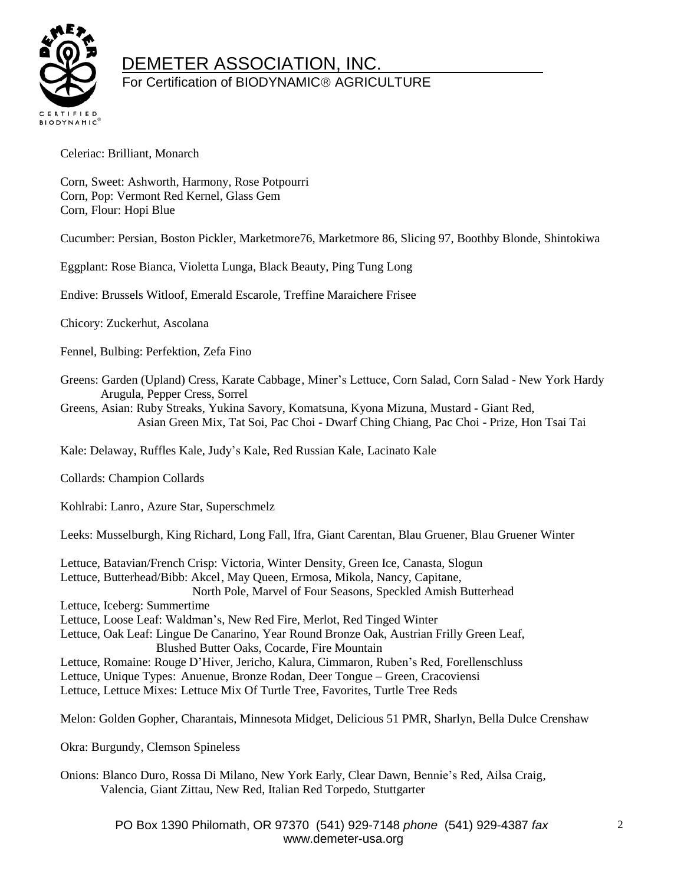

# DEMETER ASSOCIATION, INC.

### For Certification of BIODYNAMIC<sup>®</sup> AGRICULTURE

Celeriac: Brilliant, Monarch

Corn, Sweet: Ashworth, Harmony, Rose Potpourri Corn, Pop: Vermont Red Kernel, Glass Gem Corn, Flour: Hopi Blue

Cucumber: Persian, Boston Pickler, Marketmore76, Marketmore 86, Slicing 97, Boothby Blonde, Shintokiwa

Eggplant: Rose Bianca, Violetta Lunga, Black Beauty, Ping Tung Long

Endive: Brussels Witloof, Emerald Escarole, Treffine Maraichere Frisee

Chicory: Zuckerhut, Ascolana

Fennel, Bulbing: Perfektion, Zefa Fino

Greens: Garden (Upland) Cress, Karate Cabbage, Miner's Lettuce, Corn Salad, Corn Salad - New York Hardy Arugula, Pepper Cress, Sorrel

Greens, Asian: Ruby Streaks, Yukina Savory, Komatsuna, Kyona Mizuna, Mustard - Giant Red, Asian Green Mix, Tat Soi, Pac Choi - Dwarf Ching Chiang, Pac Choi - Prize, Hon Tsai Tai

Kale: Delaway, Ruffles Kale, Judy's Kale, Red Russian Kale, Lacinato Kale

Collards: Champion Collards

Kohlrabi: Lanro, Azure Star, Superschmelz

Leeks: Musselburgh, King Richard, Long Fall, Ifra, Giant Carentan, Blau Gruener, Blau Gruener Winter

Lettuce, Batavian/French Crisp: Victoria, Winter Density, Green Ice, Canasta, Slogun Lettuce, Butterhead/Bibb: Akcel, May Queen, Ermosa, Mikola, Nancy, Capitane, North Pole, Marvel of Four Seasons, Speckled Amish Butterhead Lettuce, Iceberg: Summertime Lettuce, Loose Leaf: Waldman's, New Red Fire, Merlot, Red Tinged Winter Lettuce, Oak Leaf: Lingue De Canarino, Year Round Bronze Oak, Austrian Frilly Green Leaf, Blushed Butter Oaks, Cocarde, Fire Mountain Lettuce, Romaine: Rouge D'Hiver, Jericho, Kalura, Cimmaron, Ruben's Red, Forellenschluss Lettuce, Unique Types: Anuenue, Bronze Rodan, Deer Tongue – Green, Cracoviensi Lettuce, Lettuce Mixes: Lettuce Mix Of Turtle Tree, Favorites, Turtle Tree Reds

Melon: Golden Gopher, Charantais, Minnesota Midget, Delicious 51 PMR, Sharlyn, Bella Dulce Crenshaw

Okra: Burgundy, Clemson Spineless

Onions: Blanco Duro, Rossa Di Milano, New York Early, Clear Dawn, Bennie's Red, Ailsa Craig, Valencia, Giant Zittau, New Red, Italian Red Torpedo, Stuttgarter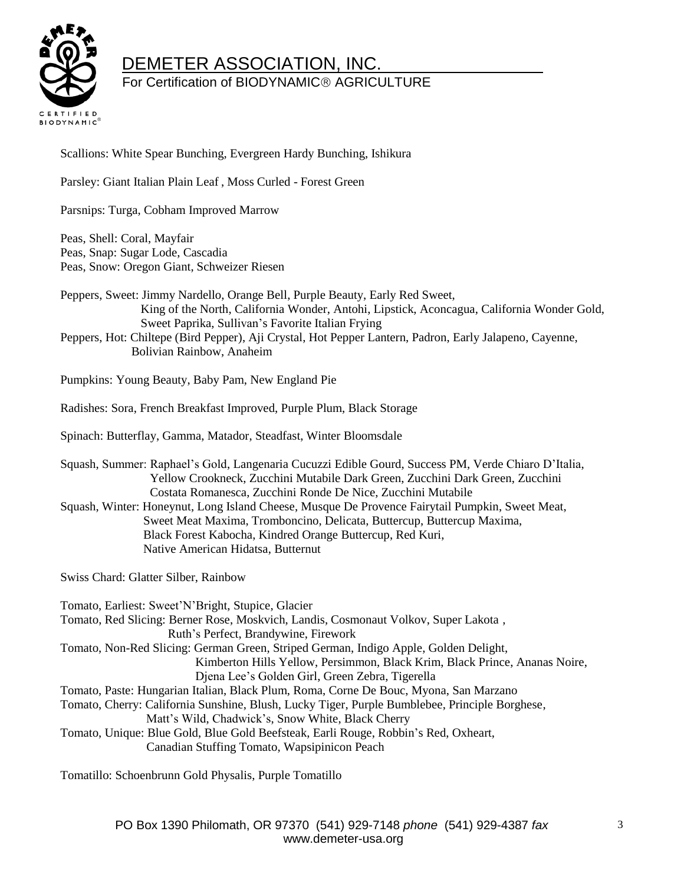

## DEMETER ASSOCIATION, INC.

## For Certification of BIODYNAMIC<sup>®</sup> AGRICULTURE

Scallions: White Spear Bunching, Evergreen Hardy Bunching, Ishikura

Parsley: Giant Italian Plain Leaf , Moss Curled - Forest Green

Parsnips: Turga, Cobham Improved Marrow

Peas, Shell: Coral, Mayfair Peas, Snap: Sugar Lode, Cascadia Peas, Snow: Oregon Giant, Schweizer Riesen

Peppers, Sweet: Jimmy Nardello, Orange Bell, Purple Beauty, Early Red Sweet, King of the North, California Wonder, Antohi, Lipstick, Aconcagua, California Wonder Gold, Sweet Paprika, Sullivan's Favorite Italian Frying

Peppers, Hot: Chiltepe (Bird Pepper), Aji Crystal, Hot Pepper Lantern, Padron, Early Jalapeno, Cayenne, Bolivian Rainbow, Anaheim

Pumpkins: Young Beauty, Baby Pam, New England Pie

Radishes: Sora, French Breakfast Improved, Purple Plum, Black Storage

Spinach: Butterflay, Gamma, Matador, Steadfast, Winter Bloomsdale

Squash, Summer: Raphael's Gold, Langenaria Cucuzzi Edible Gourd, Success PM, Verde Chiaro D'Italia, Yellow Crookneck, Zucchini Mutabile Dark Green, Zucchini Dark Green, Zucchini Costata Romanesca, Zucchini Ronde De Nice, Zucchini Mutabile Squash, Winter: Honeynut, Long Island Cheese, Musque De Provence Fairytail Pumpkin, Sweet Meat, Sweet Meat Maxima, Tromboncino, Delicata, Buttercup, Buttercup Maxima, Black Forest Kabocha, Kindred Orange Buttercup, Red Kuri,

Native American Hidatsa, Butternut

Swiss Chard: Glatter Silber, Rainbow

Tomato, Earliest: Sweet'N'Bright, Stupice, Glacier Tomato, Red Slicing: Berner Rose, Moskvich, Landis, Cosmonaut Volkov, Super Lakota , Ruth's Perfect, Brandywine, Firework Tomato, Non-Red Slicing: German Green, Striped German, Indigo Apple, Golden Delight, Kimberton Hills Yellow, Persimmon, Black Krim, Black Prince, Ananas Noire, Djena Lee's Golden Girl, Green Zebra, Tigerella Tomato, Paste: Hungarian Italian, Black Plum, Roma, Corne De Bouc, Myona, San Marzano Tomato, Cherry: California Sunshine, Blush, Lucky Tiger, Purple Bumblebee, Principle Borghese, Matt's Wild, Chadwick's, Snow White, Black Cherry Tomato, Unique: Blue Gold, Blue Gold Beefsteak, Earli Rouge, Robbin's Red, Oxheart, Canadian Stuffing Tomato, Wapsipinicon Peach

Tomatillo: Schoenbrunn Gold Physalis, Purple Tomatillo